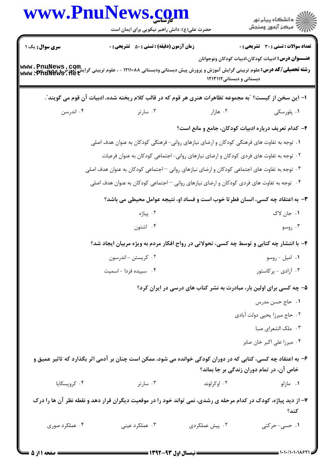|                | www.PnuNews.com<br>حضرت علی(ع): دانش راهبر نیکویی برای ایمان است                                                                                |                                                                     | ر<br>دانشڪاه پيام نور)<br>اڳ مرڪز آزمون وسنڊش              |
|----------------|-------------------------------------------------------------------------------------------------------------------------------------------------|---------------------------------------------------------------------|------------------------------------------------------------|
| سری سوال: یک ۱ | <b>زمان آزمون (دقیقه) : تستی : 50 ٪ تشریحی : 0</b>                                                                                              |                                                                     | <b>تعداد سوالات : تستی : 30 ٪ تشریحی : 0</b>               |
|                | <b>رشته تحصیلی/کد درس:</b> علوم تربیتی گرایش آموزش و پرورش پیش دبستانی ودبستانی ۱۲۱۱۰۸۸ - ، علوم تربیتی گرایش آموزشی پ<br> www . PhuNews . 11et | دبستانی و دبستانی ۱۲۱۳۱۱۲                                           | <b>عنـــوان درس:</b> ادبیات کودکان،ادبیات کودکان ونوجوانان |
|                | ا– این سخن از کیست؟ "به مجموعه تظاهرات هنری هر قوم که در قالب کلام ریخته شده، ادبیات آن قوم می گویند ؒ.                                         |                                                                     |                                                            |
| ۰۴ اندرسن      | ۰۳ سارتر                                                                                                                                        | ۰۲ هازار                                                            | ۰۱ پلورسکی                                                 |
|                |                                                                                                                                                 | ۲- کدام تعریف درباره ادبیات کودکان، جامع و مانع است؟                |                                                            |
|                | ۱. توجه به تفاوت های فرهنگی کودکان و ارضای نیازهای روانی- فرهنگی کودکان به عنوان هدف اصلی                                                       |                                                                     |                                                            |
|                | ۰۲ توجه به تفاوت های فردی کودکان و ارضای نیازهای روانی- اجتماعی کودکان به عنوان فرعیات                                                          |                                                                     |                                                            |
|                | ۰۳ توجه به تفاوت های اجتماعی کودکان و ارضای نیازهای روانی $-$ اجتماعی کودکان به عنوان هدف اصلی                                                  |                                                                     |                                                            |
|                | ۰۴ توجه به تفاوت های فردی کودکان و ارضای نیازهای روانی <sup>—</sup> اجتماعی کودکان به عنوان هدف اصلی                                            |                                                                     |                                                            |
|                | ۳- به اعتقاد چه کسی، انسان فطرتا خوب است و فساد او، نتیجه عوامل محیطی می باشد؟                                                                  |                                                                     |                                                            |
|                | ۰۲ پياژه                                                                                                                                        |                                                                     | ۱. جان لاک                                                 |
|                | ۰۴ اشتون                                                                                                                                        |                                                                     | ۰۳ روسو                                                    |
|                | ۴- با انتشار چه کتابی و توسط چه کسی، تحولاتی در رواج افکار مردم به ویژه مربیان ایجاد شد؟                                                        |                                                                     |                                                            |
|                | ۰۲ کریستن - اندرسون                                                                                                                             |                                                                     | ۰۱ امیل - روسو                                             |
|                | ۰۴ سپیده فردا - اسمیت                                                                                                                           |                                                                     | ۰۳ آزادی - پرکاستور                                        |
|                |                                                                                                                                                 | ۵- چه کسی برای اولین بار، مبادرت به نشر کتاب های درسی در ایران کرد؟ |                                                            |
|                |                                                                                                                                                 |                                                                     | ٠١ حاج حسن مدرس                                            |
|                |                                                                                                                                                 |                                                                     | ۰۲ حاج میرزا یحیی دولت آبادی                               |
|                |                                                                                                                                                 |                                                                     | ۰۳ ملک الشعرای صبا                                         |
|                |                                                                                                                                                 |                                                                     | ۰۴ میرزا علی اکبر خان صابر                                 |
|                | ۶– به اعتقاد چه کسی، کتابی که در دوران کودکی خوانده می شود، ممکن است چنان بر آدمی اثر بگذارد که تاثیر عمیق و                                    |                                                                     | خاص آن، در تمام دوران زندگی بر جا بماند؟                   |
| ۰۴ کروپسکایا   | ۰۳ سارتر                                                                                                                                        | ۰۲ اوکرلوند                                                         | ٠١ مازلو                                                   |
|                | ۷– از دید پیاژه، کودک در کدام مرحله ی رشدی، نمی تواند خود را در موقعیت دیگران قرار دهد و نقطه نظر آن ها را درک                                  |                                                                     | كند؟                                                       |
| ۰۴ عملکرد صوری | ۰۳ عملکرد عینی                                                                                                                                  | ۰۲ پیش عملکردی                                                      | ۰۱ حسی- حرکتی                                              |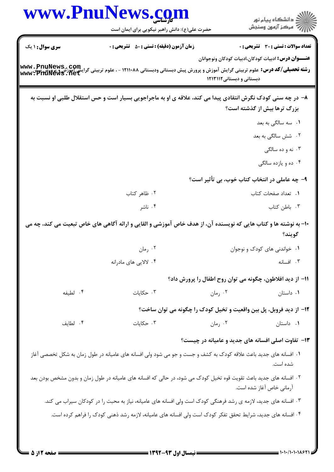| <b>سری سوال : ۱ یک</b> | حضرت علی(ع): دانش راهبر نیکویی برای ایمان است<br><b>زمان آزمون (دقیقه) : تستی : 50 ٪ تشریحی : 0</b>                                                 |                           | ڪ دانشڪاه پيام نور<br>/7 مرڪز آزمون وسنڊش                                                                   |
|------------------------|-----------------------------------------------------------------------------------------------------------------------------------------------------|---------------------------|-------------------------------------------------------------------------------------------------------------|
|                        | <b>رشته تحصیلی/کد درس:</b> علوم تربیتی گرایش آموزش و پرورش پیش دبستانی ودبستانی ۱۲۱۱۰۸۸ - ، علوم تربیتی گرایش آموزش و پرورش<br>www:PhuNews . net    | دبستانی و دبستانی ۱۲۱۳۱۱۲ | <b>تعداد سوالات : تستی : 30 ٪ تشریحی : 0</b><br><b>عنــــوان درس:</b> ادبیات کودکان،ادبیات کودکان ونوجوانان |
|                        |                                                                                                                                                     |                           |                                                                                                             |
|                        | ۸– در چه سنی کودک نگرش انتقادی پیدا می کند، علاقه ی او به ماجراجویی بسیار است و حس استقلال طلبی او نسبت به                                          |                           | بزرگ ترها بیش از گذشته است؟                                                                                 |
|                        |                                                                                                                                                     |                           | <b>۱.</b> سه سالگی به بعد                                                                                   |
|                        |                                                                                                                                                     |                           | ۲. شش سالگی به بعد                                                                                          |
|                        |                                                                                                                                                     |                           | ۰۳ نه و ده سالگی                                                                                            |
|                        |                                                                                                                                                     |                           | ۰۴ ده و یازده سالگی                                                                                         |
|                        |                                                                                                                                                     |                           | ۹– چه عاملی در انتخاب کتاب خوب، بی تأثیر است؟                                                               |
|                        | ۰۲ ظاهر کتاب                                                                                                                                        |                           | ٠١. تعداد صفحات كتاب                                                                                        |
|                        | ۰۴ ناشر                                                                                                                                             |                           | ٠٣ باطن كتاب                                                                                                |
|                        | ∙۱− به نوشته ها و کتاب هایی که نویسنده آن، از هدف خاص آموزشی و القایی و ارائه آگاهی های خاص تبعیت می کند، چه می<br>۰۲ رمان<br>۰۴ لالایی های مادرانه |                           | گويند؟<br>٠١. خواندنی های کودک و نوجوان<br>۰۳ افسانه                                                        |
|                        |                                                                                                                                                     |                           |                                                                                                             |
|                        |                                                                                                                                                     |                           | 1۱– از دید افلاطون، چگونه می توان روح اطفال را پرورش داد؟                                                   |
| ۰۴ لطيفه               | ۰۳ حکایات                                                                                                                                           | ۰۲ رمان                   | ۰۱ داستان                                                                                                   |
|                        | ۱۲- از دید فروبل، پل بین واقعیت و تخیل کودک را چگونه می توان ساخت؟                                                                                  |                           |                                                                                                             |
| ۰۴ لطايف               | ۰۳ حکایات                                                                                                                                           | ۰۲ رمان                   | ۰۱ داستان                                                                                                   |
|                        |                                                                                                                                                     |                           | <b>۱۳</b> - تفاوت اصلی افسانه های جدید و عامیانه در چیست؟                                                   |
|                        | ۰۱ افسانه های جدید باعث علاقه کودک به کشف و جست و جو می شود ولی افسانه های عامیانه در طول زمان به شکل تخصصی آغاز                                    |                           | شده است.                                                                                                    |
|                        | ۲ . افسانه های جدید باعث تقویت قوه تخیل کودک می شود، در حالی که افسانه های عامیانه در طول زمان و بدون مشخص بودن بعد                                 |                           | آرمانی خاص آغاز شده است.                                                                                    |
|                        | ۰۳ افسانه های جدید، لازمه ی رشد فرهنگی کودک است ولی افسانه های عامیانه، نیاز به محبت را در کودکان سیراب می کند.                                     |                           |                                                                                                             |
|                        | ۰۴ افسانه های جدید، شرایط تحقق تفکر کودک است ولی افسانه های عامیانه، لازمه رشد ذهنی کودک را فراهم کرده است.                                         |                           |                                                                                                             |

 $= 1.1 - 11.1 - 11.97$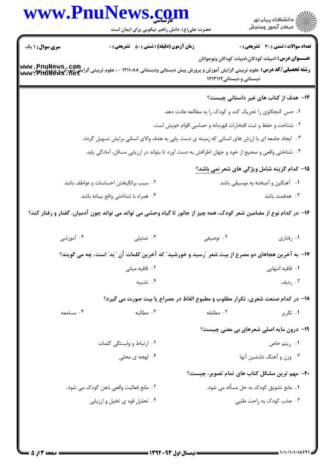|                                                                        | www.PnuNews.com<br>حضرت علی(ع): دانش راهبر نیکویی برای ایمان است                                                   |                                                               | ِ<br>∭ دانشڪاه پيام نور<br>∭ مرڪز آزمون وسنڊش              |
|------------------------------------------------------------------------|--------------------------------------------------------------------------------------------------------------------|---------------------------------------------------------------|------------------------------------------------------------|
| <b>سری سوال : ۱ یک</b>                                                 | <b>زمان آزمون (دقیقه) : تستی : 50 ٪ تشریحی : 0</b>                                                                 |                                                               | <b>تعداد سوالات : تستی : 30 ٪ تشریحی : 0</b>               |
| www.PnuNews.com<br>مَرَايَّشْ آهُوزْشْ فِي الْكَلَّابِيِّيْتَ آهُوزْشْ | <b>رشته تحصیلی/کد درس:</b> علوم تربیتی گرایش آموزش و پرورش پیش دبستانی ودبستانی ۱۲۱۱۰۸۸ - ، علوم تربیتی            | دبستانی و دبستانی ۱۲۱۳۱۱۲                                     | <b>عنـــوان درس:</b> ادبیات کودکان،ادبیات کودکان ونوجوانان |
|                                                                        |                                                                                                                    |                                                               | ۱۴– هدف از کتاب های غیر داستانی چیست؟                      |
|                                                                        |                                                                                                                    | ۰۱ حس کنجکاوی را تحریک کند و کودک را به مطالعه عادت دهد.      |                                                            |
|                                                                        |                                                                                                                    | ۰۲ شناخت و حفظ و ثبت افتخارات قهرمانه و حماسی اقوام خویش است. |                                                            |
|                                                                        | ۰۳ ایجاد جامعه ای با ارزش های انسانی که زمینه ی دست یابی به هدف والای انسانی برایش تسهیل گردد.                     |                                                               |                                                            |
|                                                                        | ۰۴ شناختی واقعی و صحیح از خود و جهان اطرافش به دست آورد تا بتواند در ارزیابی مسائل، آمادگی یابد.                   |                                                               |                                                            |
|                                                                        |                                                                                                                    |                                                               | ۱۵- کدام گزینه شامل ویژگی های شعر <u>نمی باشد؟</u>         |
|                                                                        | ۰۲ سبب برانگیختن احساسات و عواطف باشد                                                                              |                                                               | ۰۱ آهنگین و آمیخته به موسیقی باشد                          |
|                                                                        | ۰۴ همراه با شناختی واقع بینانه باشد                                                                                |                                                               | ۰۳ هدفمند باشد                                             |
|                                                                        | ۱۶– در کدام نوع از مضامین شعر کودک، همه چیز از جانور تا گیاه وحشی می تواند می تواند چون آدمیان، گفتار و رفتار کند؟ |                                                               |                                                            |
| ۰۴ آموزشی                                                              | ۰۳ تمثیلی                                                                                                          | ۰۲ توصیفی                                                     | ۰۱ رفتاري                                                  |
|                                                                        | ۱۷– به آخرین هجاهای دو مصرع از بیت شعر ″رسید و خورشید″ که آخرین کلمات آن ″ید″ است، چه می گویند؟                    |                                                               |                                                            |
|                                                                        | ۰۲ قافیه میانی                                                                                                     |                                                               | ۰۱ قافیه انتهایی                                           |
|                                                                        | ۰۴ تشبیه                                                                                                           |                                                               | ۰۳ رديف                                                    |
|                                                                        | <b>۱۸- در کدام صنعت شعری، تکرار مطلوب و مطبوع الفاظ در مصراع یا بیت صورت می گیرد؟</b>                              |                                                               |                                                            |
| ۰۴ مسامعه                                                              | ۰۳ مطالبه                                                                                                          | ۰۲ مطابقه                                                     | ۰۱ تکریر                                                   |
|                                                                        |                                                                                                                    |                                                               |                                                            |
|                                                                        |                                                                                                                    |                                                               | <b>۱۹- درون مایه اصلی شعرهای بی معنی چیست</b> ؟            |
|                                                                        | ۲. ارتباط و وابستگی کلمات                                                                                          |                                                               | ۰۱ ريتم خاص                                                |
|                                                                        | ۰۴ لهجه ی محلی                                                                                                     |                                                               | ۰۳ وزن و آهنگ دلنشین آنها                                  |
|                                                                        |                                                                                                                    |                                                               | <b>۲۰</b> - مهم ترین مشکل کتاب های تمام تصویر، چیست؟       |
|                                                                        | ۰۲ مانع فعالیت واقعی ذهن کودک می شود.                                                                              |                                                               | ٠١. مانع تشويق كودك به حل مسأله مي شود.                    |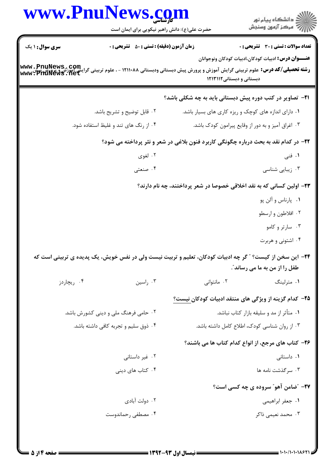| ڪ دانشڪاه پيا <sub>م</sub> نور<br><mark>ر</mark> ⊽ مرڪز آزمون وسنڊش                                         |                                                                                     | حضرت علی(ع): دانش راهبر نیکویی برای ایمان است    | www.PnuNews.com                                                                                                                                                                |
|-------------------------------------------------------------------------------------------------------------|-------------------------------------------------------------------------------------|--------------------------------------------------|--------------------------------------------------------------------------------------------------------------------------------------------------------------------------------|
| <b>تعداد سوالات : تستی : 30 ٪ تشریحی : 0</b><br><b>عنــــوان درس:</b> ادبیات کودکان،ادبیات کودکان ونوجوانان | دبستانی و دبستانی ۱۲۱۳۱۱۲                                                           | <b>زمان آزمون (دقیقه) : تستی : ۵۰ تشریحی : 0</b> | <b>سری سوال : ۱ یک</b><br><b>رشته تحصیلی/کد درس:</b> علوم تربیتی گرایش آموزش و پرورش پیش دبستانی ودبستانی ۱۲۱۱۰۸۸ - ، علوم تربیتی گرایشاهی بهww. PnuNews<br>www: PhuNews ، net |
|                                                                                                             | <b>۲۱</b> - تصاویر در کتب دوره پیش دبستانی باید به چه شکلی باشد؟                    |                                                  |                                                                                                                                                                                |
|                                                                                                             | ۰۱ دارای اندازه های کوچک و ریزه کاری های بسیار باشد.                                | ۰۲ قابل توضیح و تشریح باشد.                      |                                                                                                                                                                                |
|                                                                                                             | ۰۳ اغراق آمیز و به دور از وقایع پیرامون کودک باشد.                                  | ۰۴ از رنگ های تند و غلیظ استفاده شود.            |                                                                                                                                                                                |
|                                                                                                             | ۲۲- در کدام نقد به بحث درباره چگونگی کاربرد فنون بلاغی در شعر و نثر پرداخته می شود؟ |                                                  |                                                                                                                                                                                |
| ۰۱ فنی                                                                                                      |                                                                                     | ۰۲ لغوی                                          |                                                                                                                                                                                |
| ۰۳ زیبایی شناسی                                                                                             |                                                                                     | ۰۴ صنعتی                                         |                                                                                                                                                                                |
|                                                                                                             | ۲۳– اولین کسانی که به نقد اخلاقی خصوصا در شعر پرداختند، چه نام دارند؟               |                                                  |                                                                                                                                                                                |
| ۰۱ پارناس و آلن پو                                                                                          |                                                                                     |                                                  |                                                                                                                                                                                |
| ۰۲ افلاطون و ارسطو                                                                                          |                                                                                     |                                                  |                                                                                                                                                                                |
| ۰۳ سارتر و کامو                                                                                             |                                                                                     |                                                  |                                                                                                                                                                                |
| ۰۴ اشتونی و هربرت                                                                                           |                                                                                     |                                                  |                                                                                                                                                                                |
| طفل را از من به ما می رساند ؒ.                                                                              |                                                                                     |                                                  | ۲۴– این سخن از کیست؟ " گر چه ادبیات کودکان، تعلیم و تربیت نیست ولی در نفس خویش، یک پدیده ی تربیتی است که                                                                       |
| ۰۱ مترلینگ                                                                                                  | ۰۲ مانتوانی                                                                         | ۰۳ راسين                                         | ۰۴ ریچاردز                                                                                                                                                                     |
|                                                                                                             | ۲۵– کدام گزینه از ویژگی های منتقد ادبیات کودکان نیست؟                               |                                                  |                                                                                                                                                                                |
| ۰۱ متأثر از مد و سلیقه بازار کتاب نباشد.                                                                    |                                                                                     | ۰۲ حامی فرهنگ ملی و دینی کشورش باشد.             |                                                                                                                                                                                |
|                                                                                                             | ٠٣ از روان شناسي كودك، اطلاع كامل داشته باشد.                                       | ۰۴ ذوق سلیم و تجربه کافی داشته باشد.             |                                                                                                                                                                                |
|                                                                                                             | ۲۶- کتاب های مرجع، از انواع کدام کتاب ها می باشند؟                                  |                                                  |                                                                                                                                                                                |
| ۰۱ داستانی                                                                                                  |                                                                                     | ۰۲ غیر داستانی                                   |                                                                                                                                                                                |
| ۰۳ سرگذشت نامه ها                                                                                           |                                                                                     | ۰۴ کتاب های دینی                                 |                                                                                                                                                                                |
| <b>۲۷-</b> "ضامن آهو" سروده ی چه کسی است؟                                                                   |                                                                                     |                                                  |                                                                                                                                                                                |
| ٠١. جعفر ابراهيمي                                                                                           |                                                                                     | ۰۲ دولت آبادي                                    |                                                                                                                                                                                |
| ۰۳ محمد نعیمی ذاکر                                                                                          |                                                                                     | ۰۴ مصطفى رحماندوست                               |                                                                                                                                                                                |